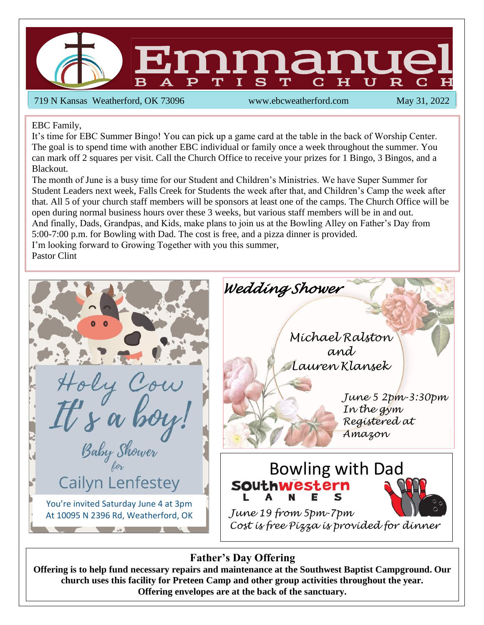

719 N Kansas Weatherford, OK 73096 www.ebcweatherford.com May 31, 2022

EBC Family,

It's time for EBC Summer Bingo! You can pick up a game card at the table in the back of Worship Center. The goal is to spend time with another EBC individual or family once a week throughout the summer. You can mark off 2 squares per visit. Call the Church Office to receive your prizes for 1 Bingo, 3 Bingos, and a Blackout.

The month of June is a busy time for our Student and Children's Ministries. We have Super Summer for Student Leaders next week, Falls Creek for Students the week after that, and Children's Camp the week after that. All 5 of your church staff members will be sponsors at least one of the camps. The Church Office will be open during normal business hours over these 3 weeks, but various staff members will be in and out. And finally, Dads, Grandpas, and Kids, make plans to join us at the Bowling Alley on Father's Day from 5:00-7:00 p.m. for Bowling with Dad. The cost is free, and a pizza dinner is provided. I'm looking forward to Growing Together with you this summer,

Pastor Clint



## **Father's Day Offering**

**Offering is to help fund necessary repairs and maintenance at the Southwest Baptist Campground. Our church uses this facility for Preteen Camp and other group activities throughout the year. Offering envelopes are at the back of the sanctuary.**